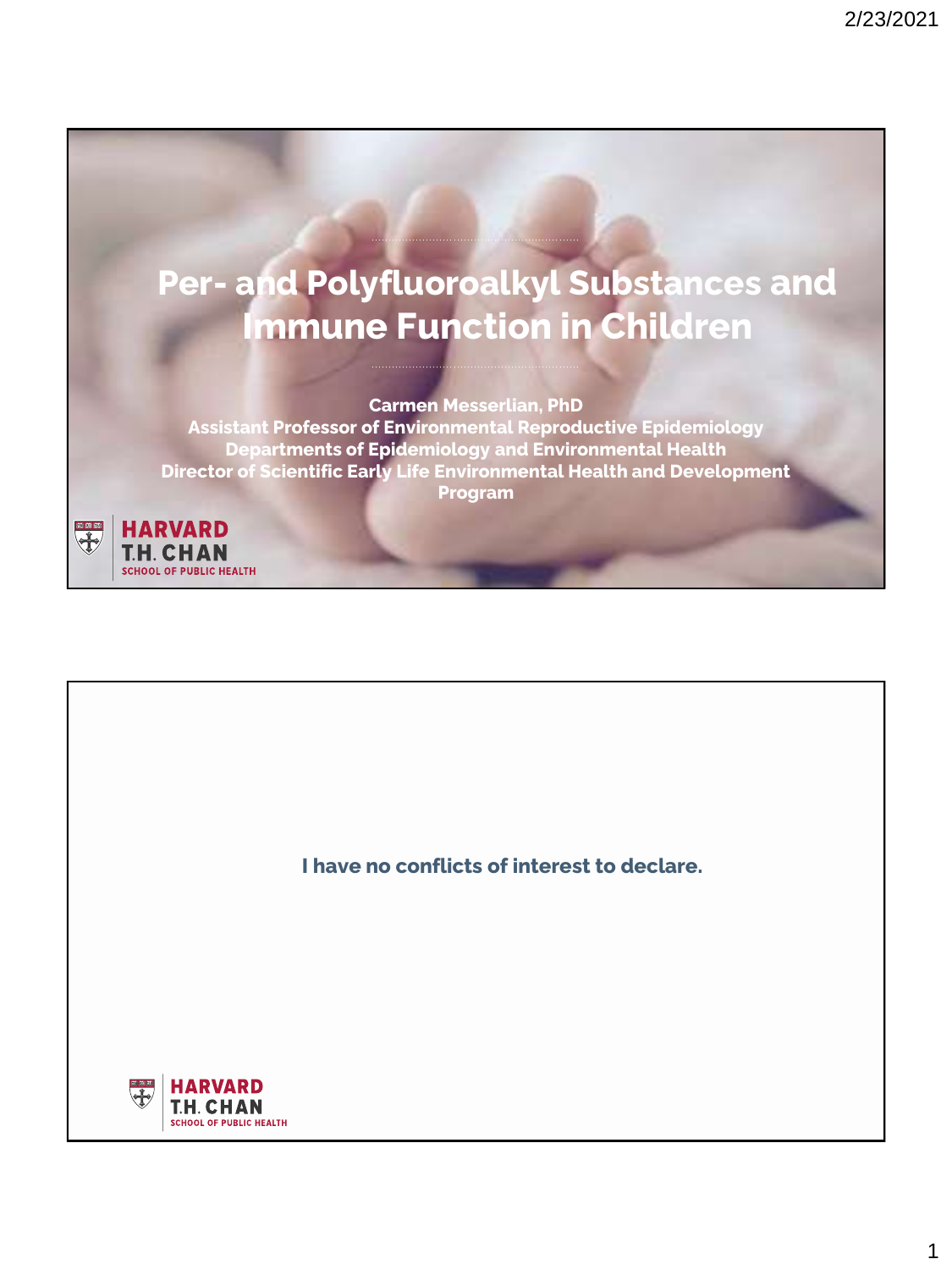

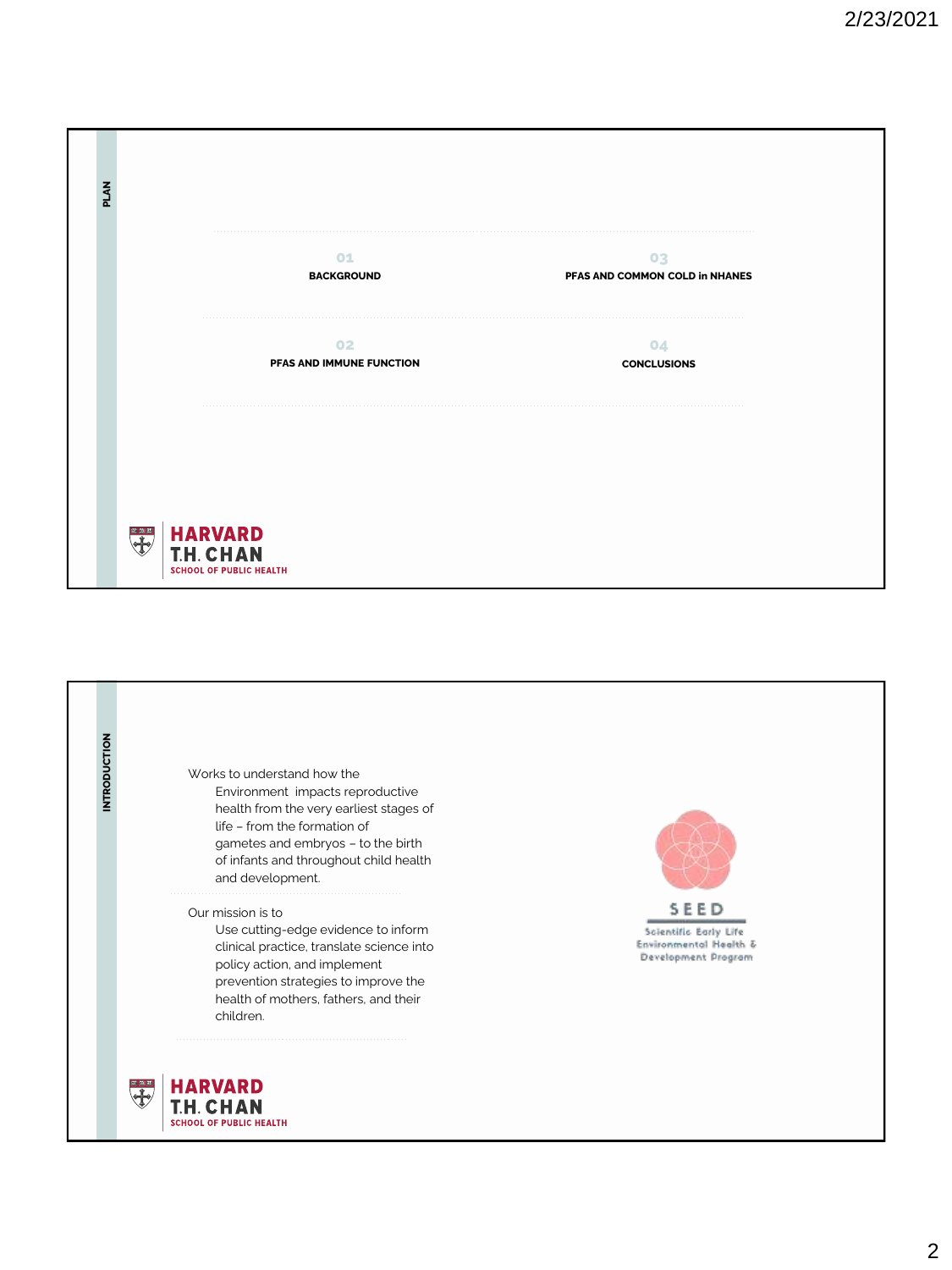| PLAN |                                                                 |
|------|-----------------------------------------------------------------|
|      | O1<br>03<br><b>BACKGROUND</b><br>PFAS AND COMMON COLD in NHANES |
|      | 02<br>04<br>PFAS AND IMMUNE FUNCTION<br><b>CONCLUSIONS</b>      |
|      |                                                                 |
|      | HARVARD<br>T.H. CHAN<br><b>SCHOOL OF PUBLIC HEALTH</b>          |

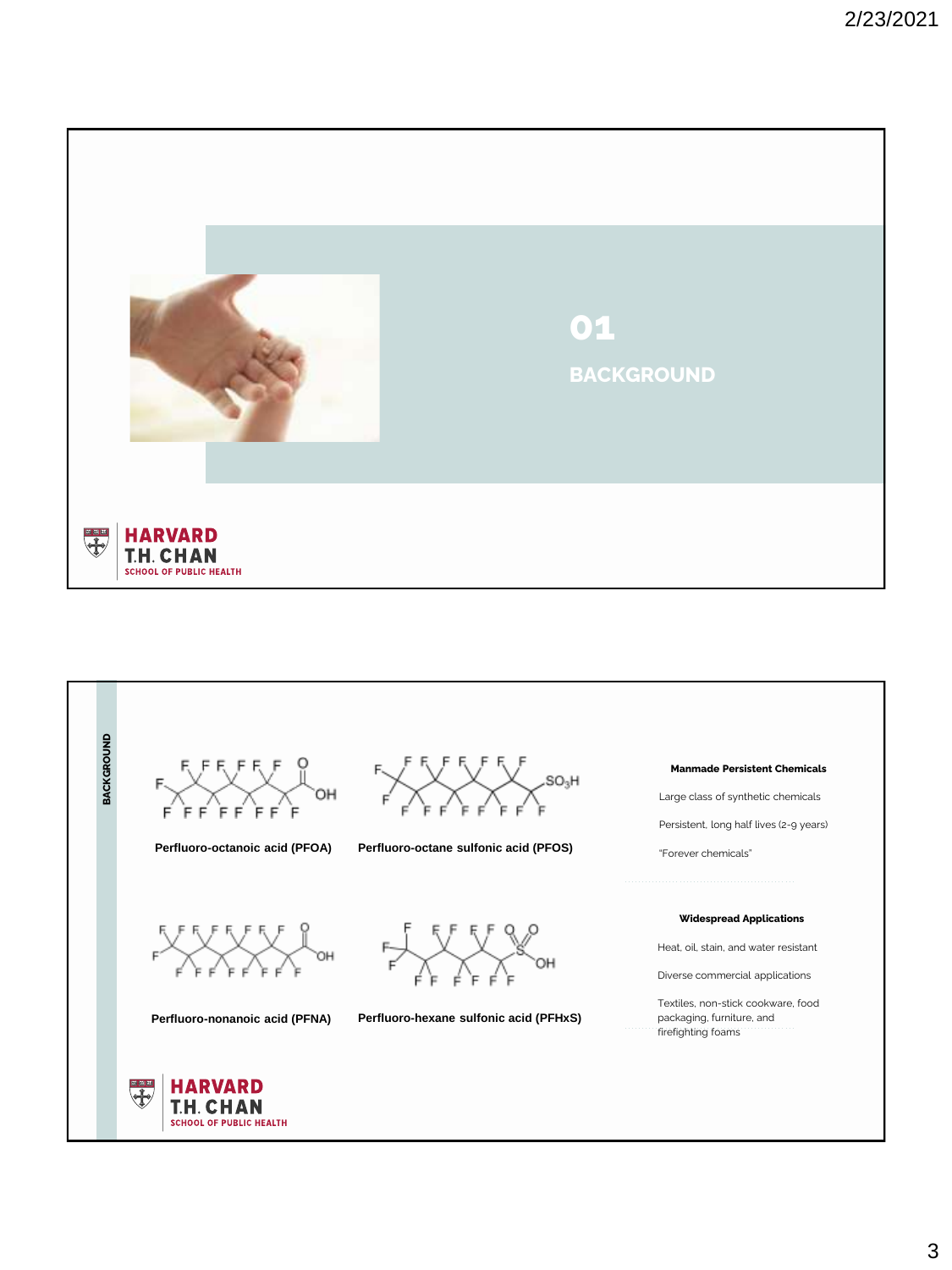

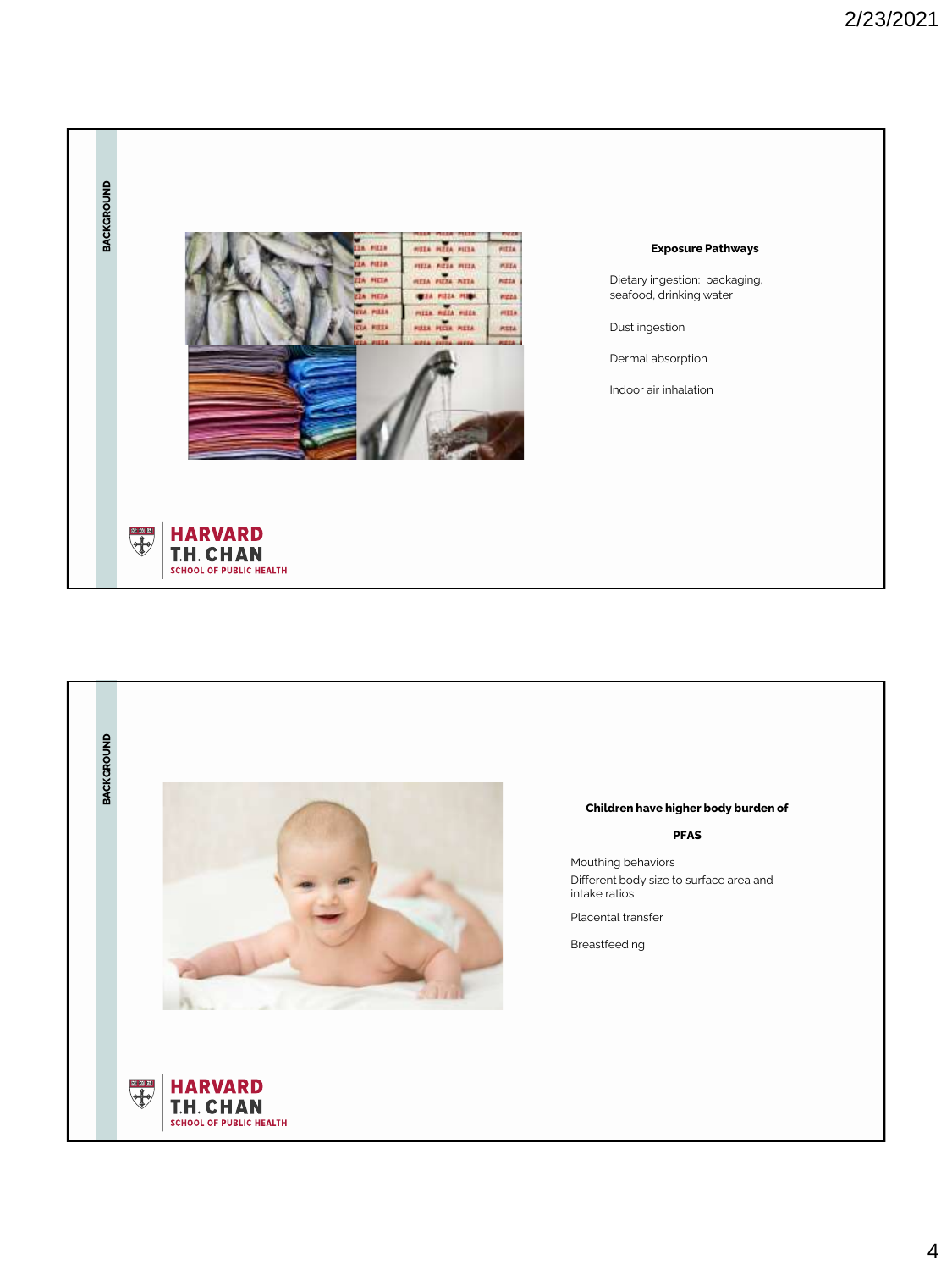

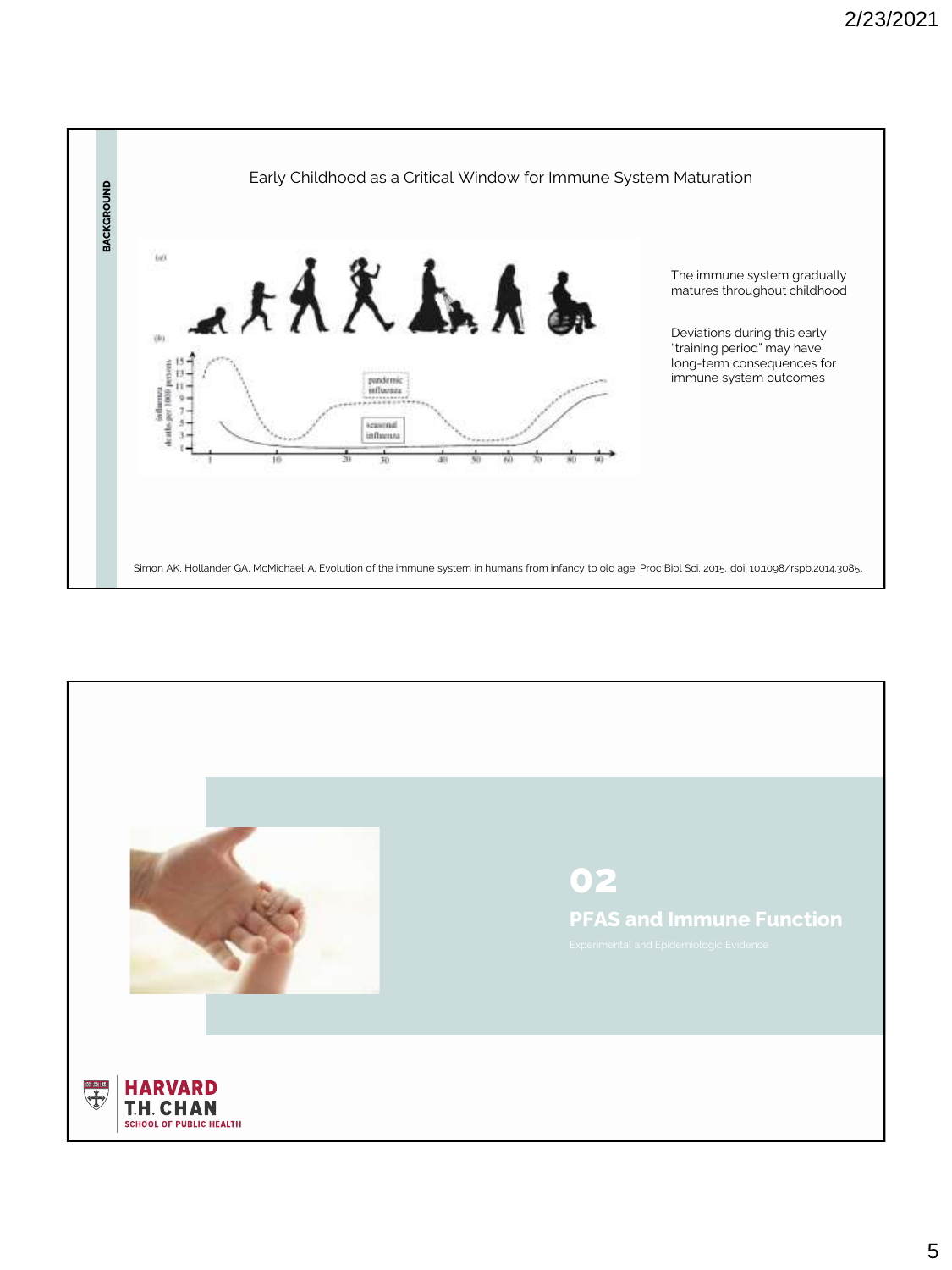

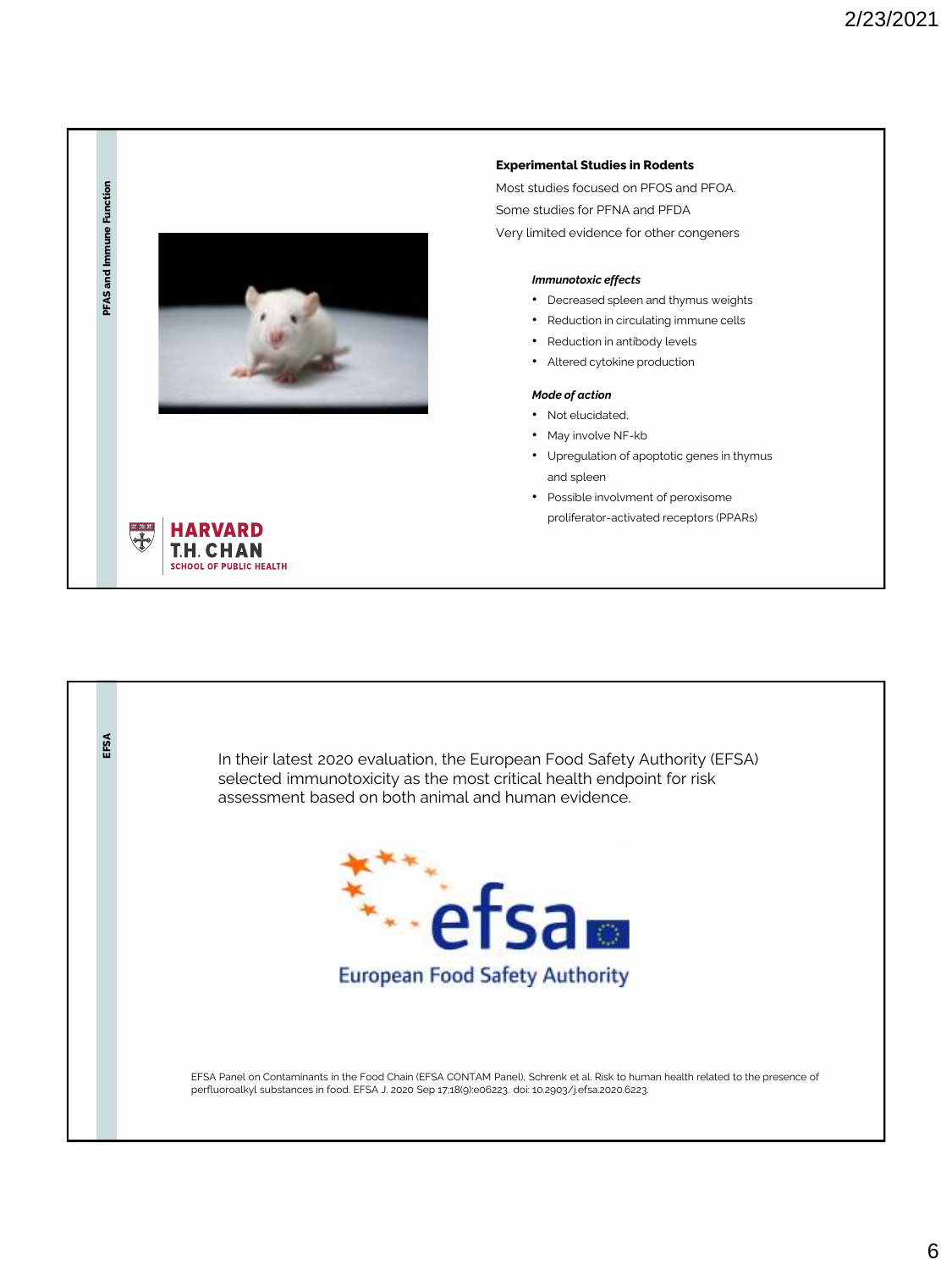

## **Experimental Studies in Rodents**

Most studies focused on PFOS and PFOA. Some studies for PFNA and PFDA Very limited evidence for other congeners

## *Immunotoxic effects*

- Decreased spleen and thymus weights
- Reduction in circulating immune cells
- Reduction in antibody levels
- Altered cytokine production

## *Mode of action*

- Not elucidated,
- May involve NF-kb
- Upregulation of apoptotic genes in thymus and spleen
- Possible involvment of peroxisome proliferator-activated receptors (PPARs)

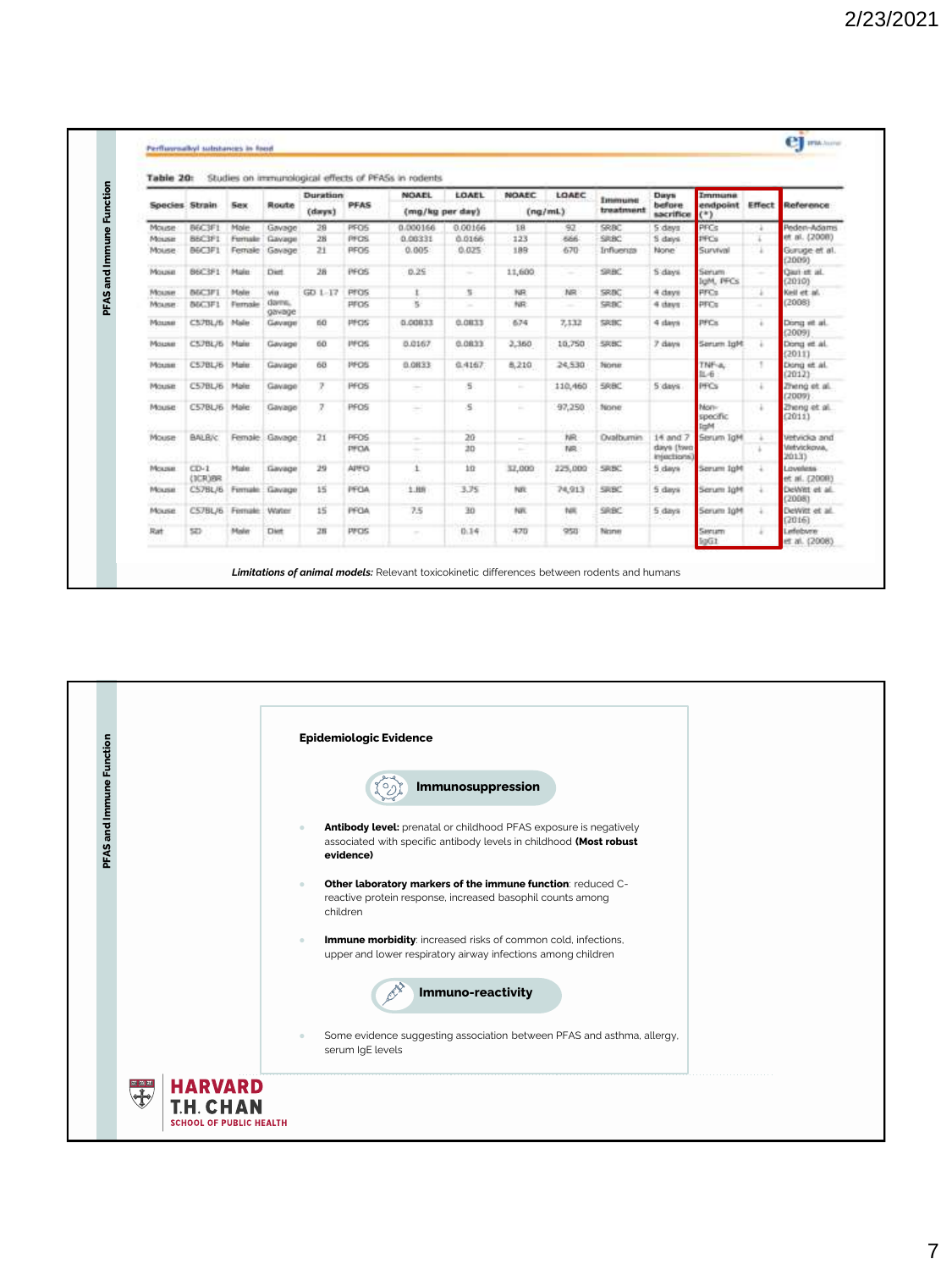|              | Studies on immunological effects of PFASs in rodents<br>Table 20: |              |                        |                  |                    |              |                                 |         |                |                                                                                                                                                                                                                                                                                                                                                                                                                                                                            |                     |                                    |                                    |                                                                                                                                                                                                                                                                                                                                                                                                                                                                            |                            |
|--------------|-------------------------------------------------------------------|--------------|------------------------|------------------|--------------------|--------------|---------------------------------|---------|----------------|----------------------------------------------------------------------------------------------------------------------------------------------------------------------------------------------------------------------------------------------------------------------------------------------------------------------------------------------------------------------------------------------------------------------------------------------------------------------------|---------------------|------------------------------------|------------------------------------|----------------------------------------------------------------------------------------------------------------------------------------------------------------------------------------------------------------------------------------------------------------------------------------------------------------------------------------------------------------------------------------------------------------------------------------------------------------------------|----------------------------|
|              | Species Strain                                                    |              | <b>Sex</b>             | Route            | Duration<br>(dmms) | <b>PFAS</b>  | <b>NOAEL</b><br>(mg/kg per day) | LOAEL   | <b>NOAEC</b>   | LOAEC<br>(nq/mL)                                                                                                                                                                                                                                                                                                                                                                                                                                                           | Immune<br>treatment | <b>Days</b><br>before<br>sacrifice | Immune<br>endpoint Effect<br>$(*)$ |                                                                                                                                                                                                                                                                                                                                                                                                                                                                            | Reference                  |
| Mouse        |                                                                   | BEC3F1       | Mole                   | Gavage           | 28                 | <b>PFOS</b>  | 0.000166                        | 0.00166 | 18             | 97                                                                                                                                                                                                                                                                                                                                                                                                                                                                         | SRBC                | 5 days                             | PPCs                               | ÷                                                                                                                                                                                                                                                                                                                                                                                                                                                                          | Peden-Adams                |
| Mouse        | <b>BRC3F1</b>                                                     |              | Fernale                | Gavage           | 28                 | <b>PFOS</b>  | 0.00331                         | 0.0166  | 123            | 666                                                                                                                                                                                                                                                                                                                                                                                                                                                                        | SRBC                | 5 days                             | <b>IFCs</b>                        |                                                                                                                                                                                                                                                                                                                                                                                                                                                                            | et al. (2008)              |
| Mouse        |                                                                   | B6C3F1       | Female                 | Gavage           | 21                 | <b>PFOS</b>  | 0.005                           | 0.025   | 189            | 670                                                                                                                                                                                                                                                                                                                                                                                                                                                                        | Influenza           | None                               | Survival                           | ÷                                                                                                                                                                                                                                                                                                                                                                                                                                                                          | Guruge et al.<br>(2009)    |
| Mousie       |                                                                   | B6C3F1       | Males                  | Diet.            | 28                 | PFOS         | 0.25                            | ÷       | 11,600         | $\frac{1}{2} \left( \frac{1}{2} \right) \left( \frac{1}{2} \right) \left( \frac{1}{2} \right) \left( \frac{1}{2} \right) \left( \frac{1}{2} \right) \left( \frac{1}{2} \right) \left( \frac{1}{2} \right) \left( \frac{1}{2} \right) \left( \frac{1}{2} \right) \left( \frac{1}{2} \right) \left( \frac{1}{2} \right) \left( \frac{1}{2} \right) \left( \frac{1}{2} \right) \left( \frac{1}{2} \right) \left( \frac{1}{2} \right) \left( \frac{1}{2} \right) \left( \frac$ | SHBC                | 5 days                             | Serum<br>loM, PFCs                 | $\frac{1}{2} \left( \frac{1}{2} \right) \left( \frac{1}{2} \right) \left( \frac{1}{2} \right) \left( \frac{1}{2} \right) \left( \frac{1}{2} \right) \left( \frac{1}{2} \right) \left( \frac{1}{2} \right) \left( \frac{1}{2} \right) \left( \frac{1}{2} \right) \left( \frac{1}{2} \right) \left( \frac{1}{2} \right) \left( \frac{1}{2} \right) \left( \frac{1}{2} \right) \left( \frac{1}{2} \right) \left( \frac{1}{2} \right) \left( \frac{1}{2} \right) \left( \frac$ | Qual et al.<br>(2010)      |
| Mouse        | <b>INSC3F1</b>                                                    |              | Maler                  | win              | $GD 1-17$          | <b>PFOS</b>  |                                 | s       | NR             | NR                                                                                                                                                                                                                                                                                                                                                                                                                                                                         | SRBC                | 4 days                             | PFCs                               | ä                                                                                                                                                                                                                                                                                                                                                                                                                                                                          | Kell et al.                |
| Mouse        | <b>INGC3F1</b>                                                    |              | Ferrasie               | darms.<br>gavage |                    | <b>PFOS</b>  | ×                               | $\sim$  | NR             | $\sim$                                                                                                                                                                                                                                                                                                                                                                                                                                                                     | SRBC                | 4 days                             | PFCs                               | $\sim$                                                                                                                                                                                                                                                                                                                                                                                                                                                                     | (2008)                     |
| Mosseu       |                                                                   | C57BL/6 Male |                        | Gevage           | tia                | PFOS         | 0.00033                         | 0.0833  | 674            | 7,132                                                                                                                                                                                                                                                                                                                                                                                                                                                                      | SRBC                | 4 days                             | <b>PFCs</b>                        | è                                                                                                                                                                                                                                                                                                                                                                                                                                                                          | Dong et al.<br>(2009)      |
| Моцке        |                                                                   | CS7BL/6 Main |                        | Gavage           | 60                 | <b>INFOS</b> | 0.0167                          | 0.0833  | 2,360          | 10,750                                                                                                                                                                                                                                                                                                                                                                                                                                                                     | SRBC                | 7 days                             | Hpf: munici                        | ÷                                                                                                                                                                                                                                                                                                                                                                                                                                                                          | Dong et al.<br>(2011)      |
| Móxese       |                                                                   | C57BL/6 Male |                        | Gavage           | 68                 | <b>HFOS</b>  | 0.0833                          | 0.4167  | 8,210          | 24,530                                                                                                                                                                                                                                                                                                                                                                                                                                                                     | None                |                                    | TNF-a,<br>L6                       | ,                                                                                                                                                                                                                                                                                                                                                                                                                                                                          | Dong et al.<br>(2012)      |
| Mouse        |                                                                   | C57BL/6 Male |                        | Gavage           | 7                  | <b>PFOS</b>  |                                 | 5       | $\sim$         | 110,460                                                                                                                                                                                                                                                                                                                                                                                                                                                                    | <b>SRBC</b>         | 5 days                             | PFCs                               | ٠                                                                                                                                                                                                                                                                                                                                                                                                                                                                          | Zheng et al.<br>(2009)     |
| Mouse        |                                                                   | C57BL/6 Male |                        | Gavage           | 7                  | <b>PFOS</b>  | ÷                               | s       | $\sim$         | 97,250                                                                                                                                                                                                                                                                                                                                                                                                                                                                     | None                |                                    | Non-<br>specific<br>$-44$          | š                                                                                                                                                                                                                                                                                                                                                                                                                                                                          | Zheng et al.<br>(2011)     |
| Mouse        | <b>BALB/c</b>                                                     |              |                        | Female Gavage    | 21                 | <b>PFOS</b>  | $\sim$                          | 20      | $\sim$         | NR                                                                                                                                                                                                                                                                                                                                                                                                                                                                         | <b>Ovalbumin</b>    | 14 and 7                           | Serum TgH                          | ÷                                                                                                                                                                                                                                                                                                                                                                                                                                                                          | Vetvidia and               |
|              |                                                                   |              |                        |                  |                    | <b>PFOA</b>  |                                 | эb      | <b>Section</b> | TAR.                                                                                                                                                                                                                                                                                                                                                                                                                                                                       |                     | days (freq<br>Injections)          |                                    | ×                                                                                                                                                                                                                                                                                                                                                                                                                                                                          | Vertvickova.<br>20133      |
| Measure.     | $CD-1$                                                            | (ICR)BR      | Male                   | Gavage           | 29                 | APFO         | 1                               | m       | 32,000         | 225,000                                                                                                                                                                                                                                                                                                                                                                                                                                                                    | SRBC                | 5 days                             | Serum TgH                          | ×                                                                                                                                                                                                                                                                                                                                                                                                                                                                          | Loveless<br>et al. (2008). |
| <b>Mouse</b> |                                                                   |              | C57BL/6 Firmale Gavage |                  | 15                 | PFOA         | 1.88                            | 3.75    | NR             | 74,913                                                                                                                                                                                                                                                                                                                                                                                                                                                                     | SRBC <sup>*</sup>   | 5 days                             | Serum JoH                          | ٠                                                                                                                                                                                                                                                                                                                                                                                                                                                                          | DeWitt et al.<br>(2008).   |
| Mouse        |                                                                   |              | C57BL/6 Female         | Water            | 15                 | <b>PFOA</b>  | 7.5                             | 30      | NW             | tex                                                                                                                                                                                                                                                                                                                                                                                                                                                                        | SRBC                | 5 days                             | Serum JuM                          | ×                                                                                                                                                                                                                                                                                                                                                                                                                                                                          | DeWitt et al.<br>(2016)    |
| Rat          | 52)                                                               |              | Maler                  | <b>Dist</b>      | 28                 | PFOS         | $\sim$                          | 0.14    | 470            | 950                                                                                                                                                                                                                                                                                                                                                                                                                                                                        | Nicimes             |                                    | Seeum<br>oG1                       |                                                                                                                                                                                                                                                                                                                                                                                                                                                                            | Lefebvre<br>et al. (2008). |

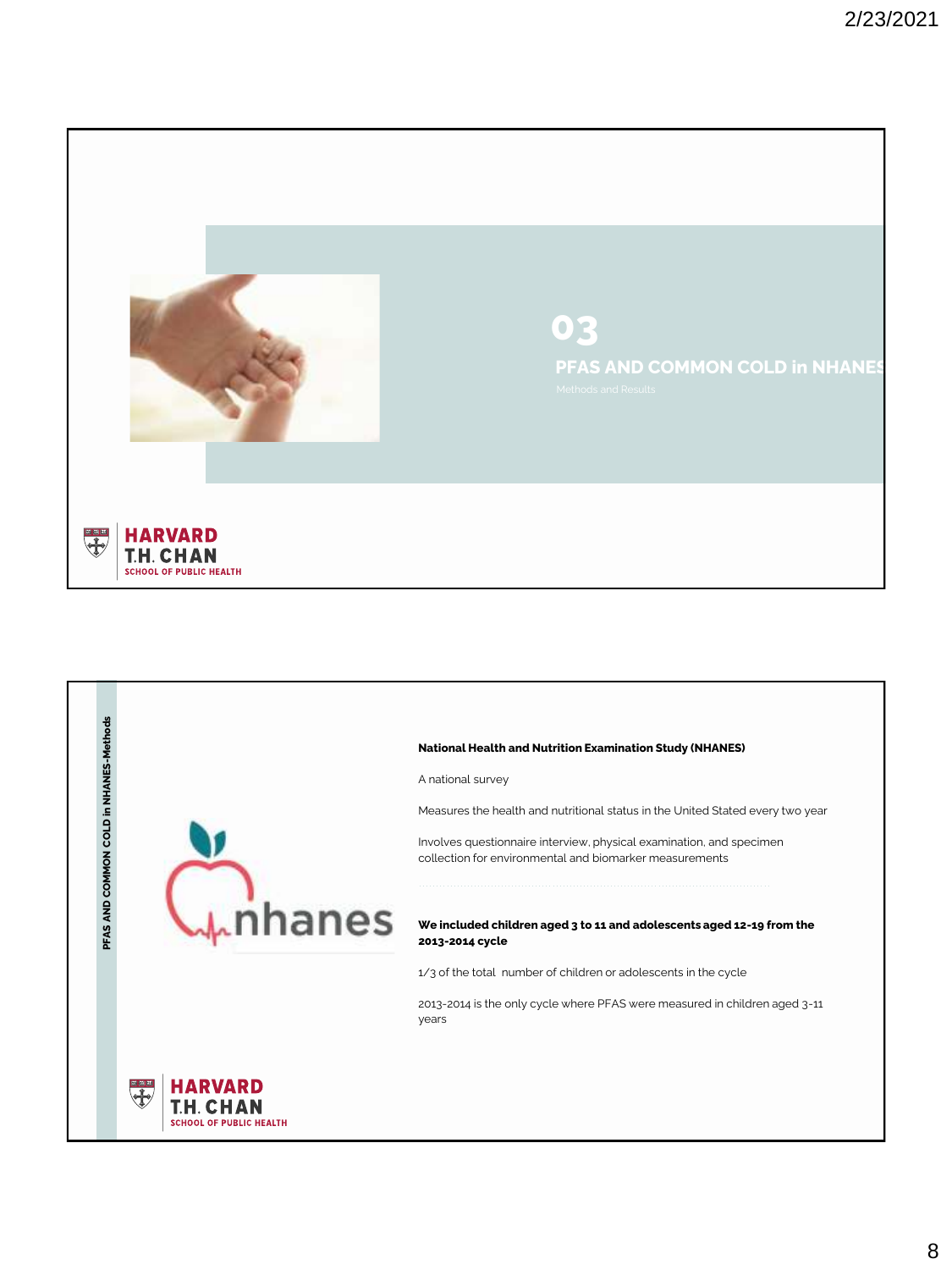

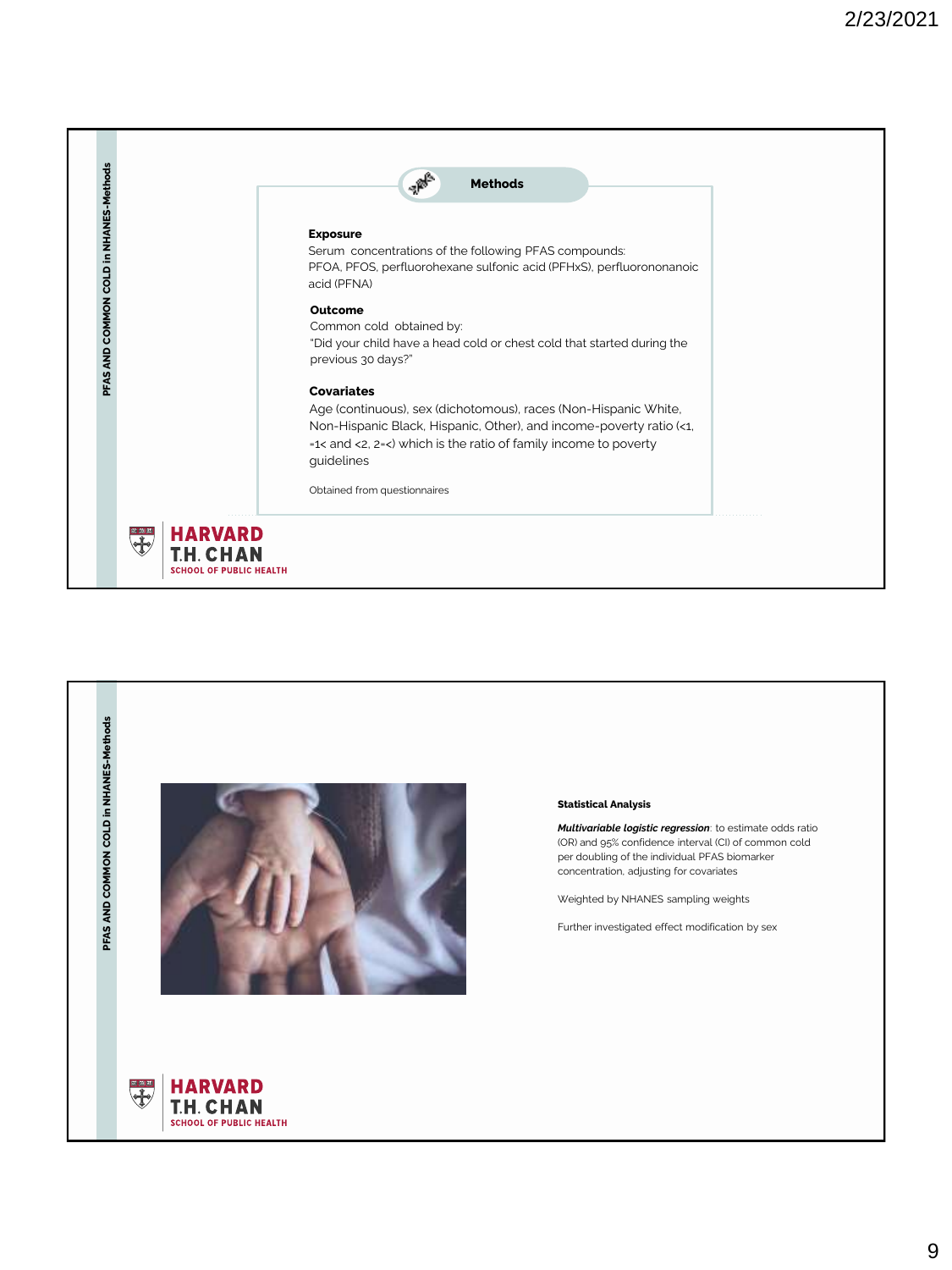

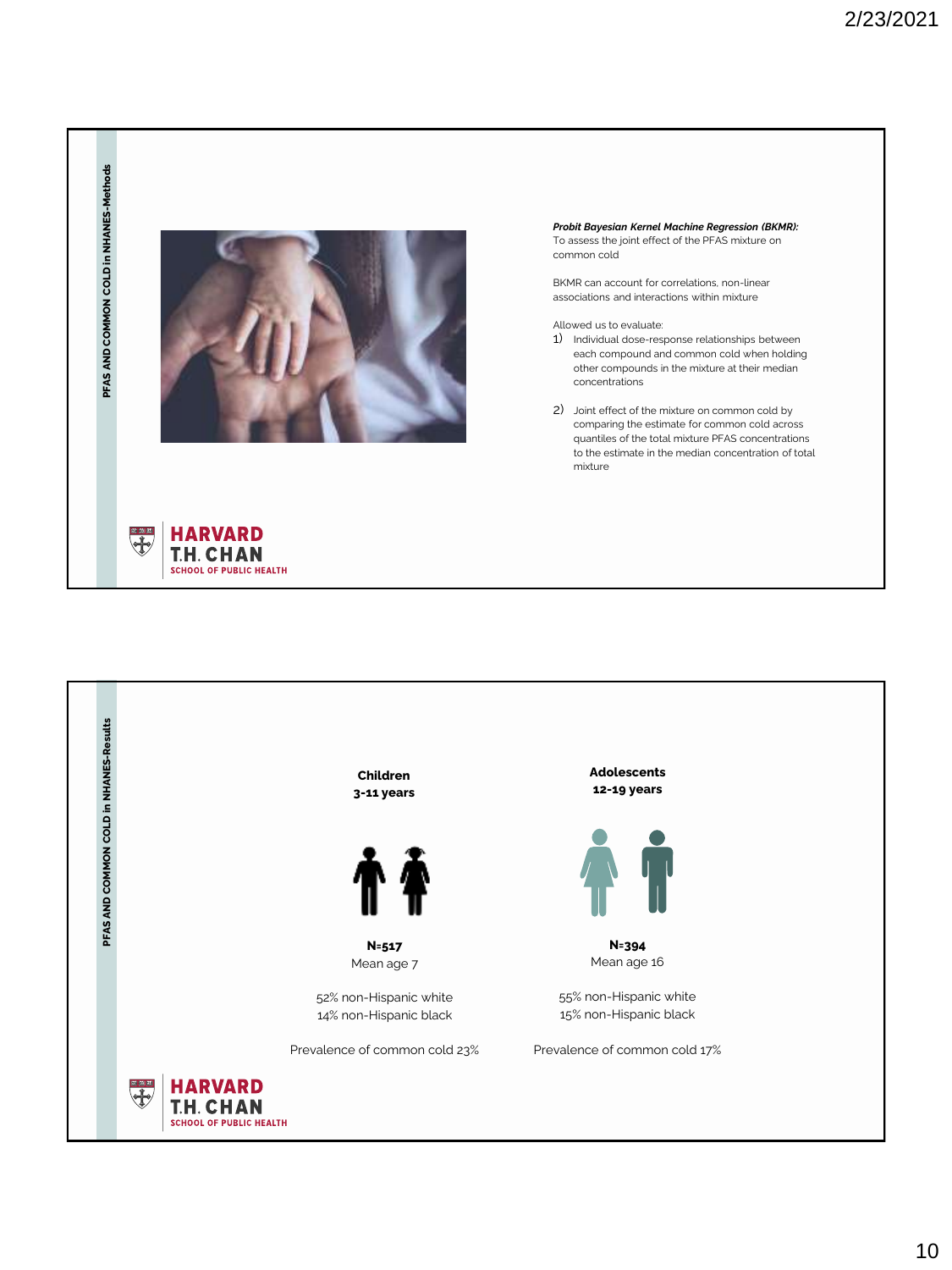

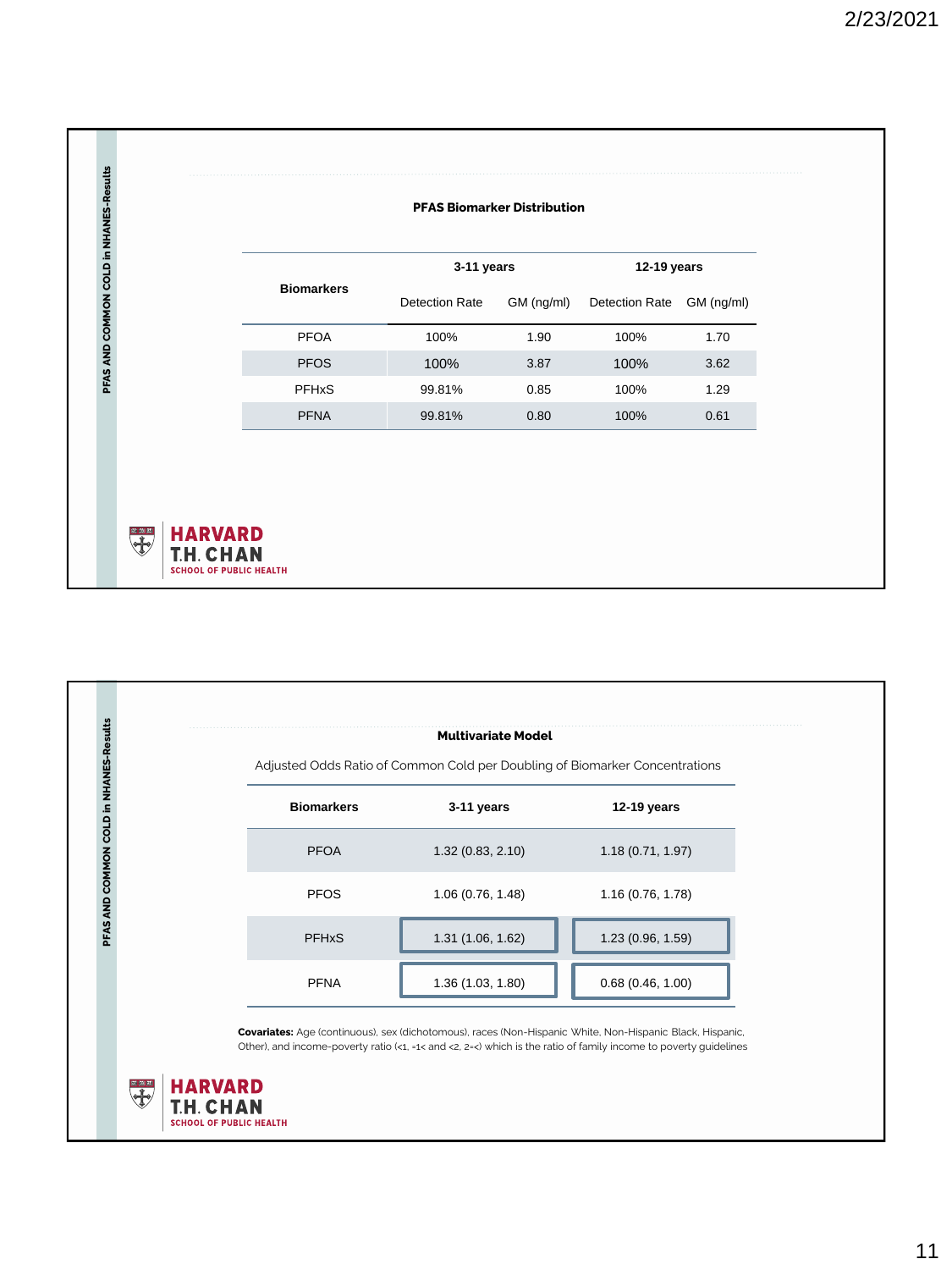|                                        |                   | <b>PFAS Biomarker Distribution</b> |            |                |            |  |  |
|----------------------------------------|-------------------|------------------------------------|------------|----------------|------------|--|--|
| PFAS AND COMMON COLD in NHANES-Results |                   | 3-11 years                         |            | 12-19 years    |            |  |  |
|                                        | <b>Biomarkers</b> | <b>Detection Rate</b>              | GM (ng/ml) | Detection Rate | GM (ng/ml) |  |  |
|                                        | <b>PFOA</b>       | 100%                               | 1.90       | 100%           | 1.70       |  |  |
|                                        | <b>PFOS</b>       | 100%                               | 3.87       | 100%           | 3.62       |  |  |
|                                        | <b>PFHxS</b>      | 99.81%                             | 0.85       | 100%           | 1.29       |  |  |
|                                        | <b>PFNA</b>       | 99.81%                             | 0.80       | 100%           | 0.61       |  |  |

|                         | <b>Multivariate Model</b>                                                   |                  |
|-------------------------|-----------------------------------------------------------------------------|------------------|
|                         | Adjusted Odds Ratio of Common Cold per Doubling of Biomarker Concentrations |                  |
| <b>Biomarkers</b>       | 3-11 years                                                                  | 12-19 years      |
| <b>PFOA</b>             | 1.32(0.83, 2.10)                                                            | 1.18(0.71, 1.97) |
| <b>PFOS</b>             | 1.06(0.76, 1.48)                                                            | 1.16(0.76, 1.78) |
| <b>PFH<sub>x</sub>S</b> | 1.31(1.06, 1.62)                                                            | 1.23(0.96, 1.59) |
| <b>PFNA</b>             | 1.36 (1.03, 1.80)                                                           | 0.68(0.46, 1.00) |

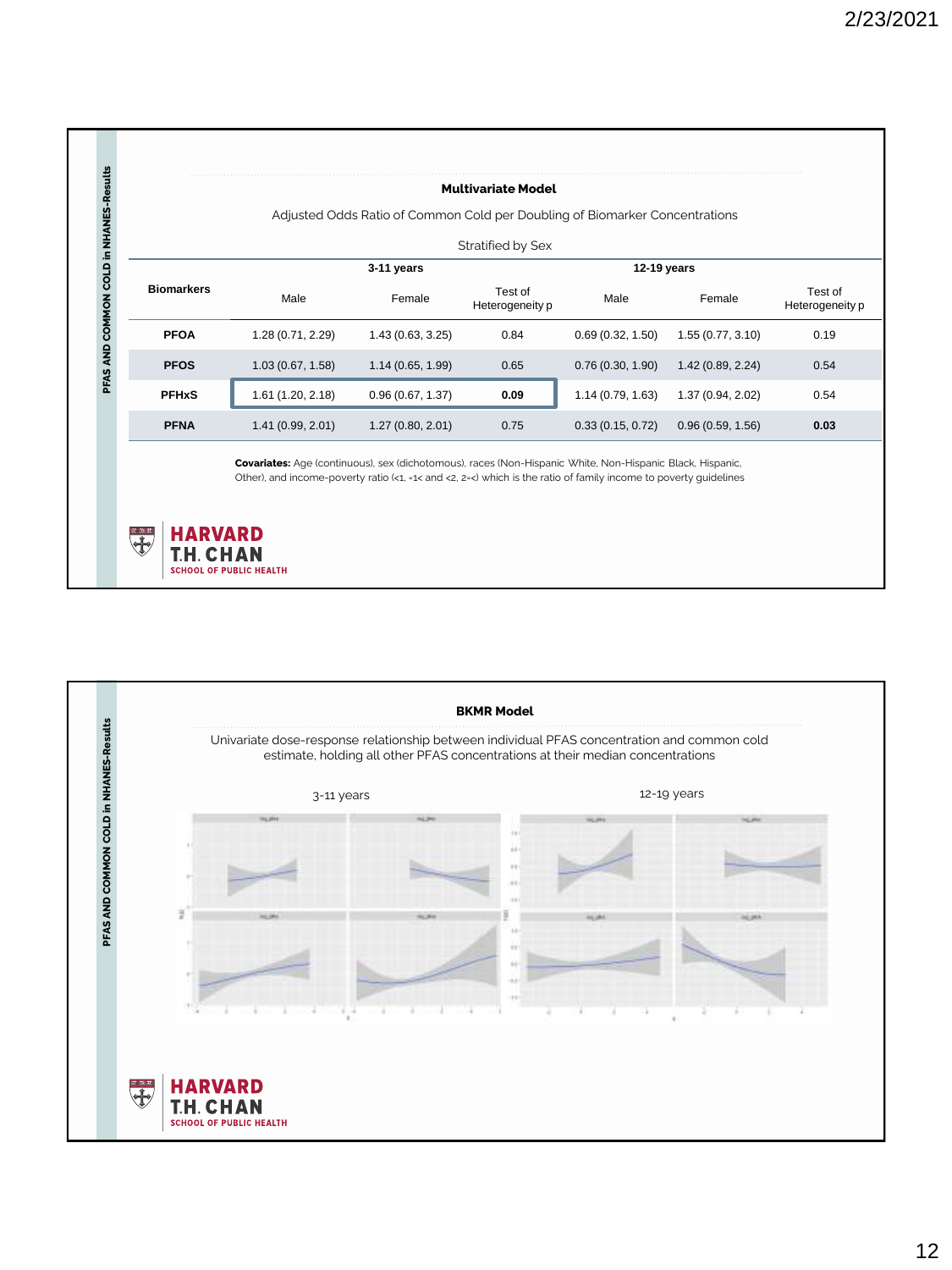|              |                   | Adjusted Odds Ratio of Common Cold per Doubling of Biomarker Concentrations |                 |                              |                   |                            |
|--------------|-------------------|-----------------------------------------------------------------------------|-----------------|------------------------------|-------------------|----------------------------|
|              |                   |                                                                             |                 |                              |                   |                            |
|              |                   |                                                                             |                 |                              |                   |                            |
|              | Male              | Female                                                                      | Heterogeneity p | Male                         | Female            | Test of<br>Heterogeneity p |
| <b>PFOA</b>  | 1.28 (0.71, 2.29) | 1.43(0.63, 3.25)                                                            | 0.84            | 0.69(0.32, 1.50)             | 1.55(0.77, 3.10)  | 0.19                       |
| <b>PFOS</b>  | 1.03(0.67, 1.58)  | 1.14(0.65, 1.99)                                                            | 0.65            | 0.76(0.30, 1.90)             | 1.42 (0.89, 2.24) | 0.54                       |
| <b>PFHxS</b> | 1.61 (1.20, 2.18) | 0.96(0.67, 1.37)                                                            | 0.09            | 1.14(0.79, 1.63)             | 1.37 (0.94, 2.02) | 0.54                       |
| <b>PFNA</b>  | 1.41 (0.99, 2.01) | 1.27(0.80, 2.01)                                                            | 0.75            | 0.33(0.15, 0.72)             | 0.96(0.59, 1.56)  | 0.03                       |
|              | <b>Biomarkers</b> |                                                                             | 3-11 years      | Stratified by Sex<br>Test of |                   | 12-19 years                |

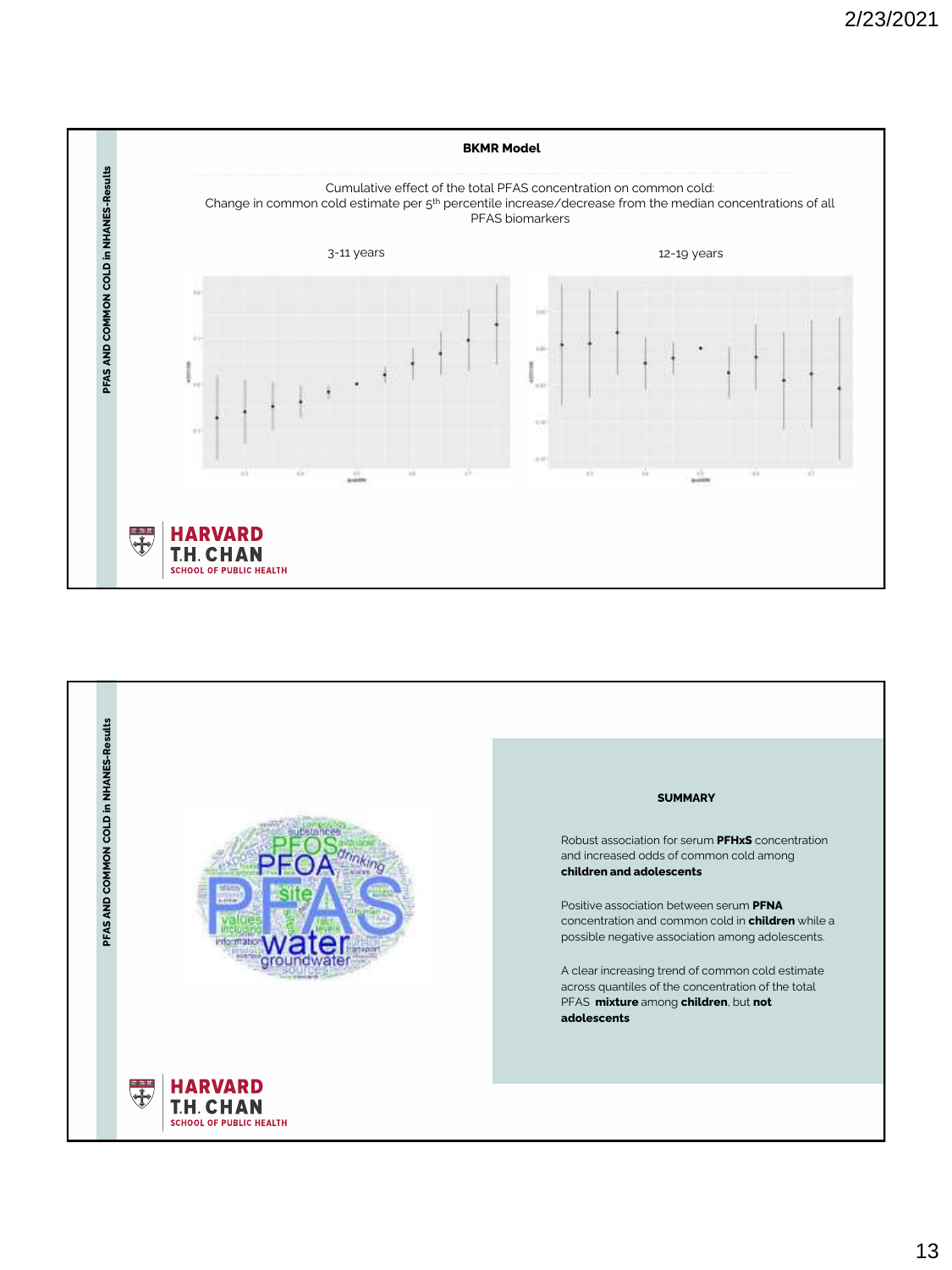

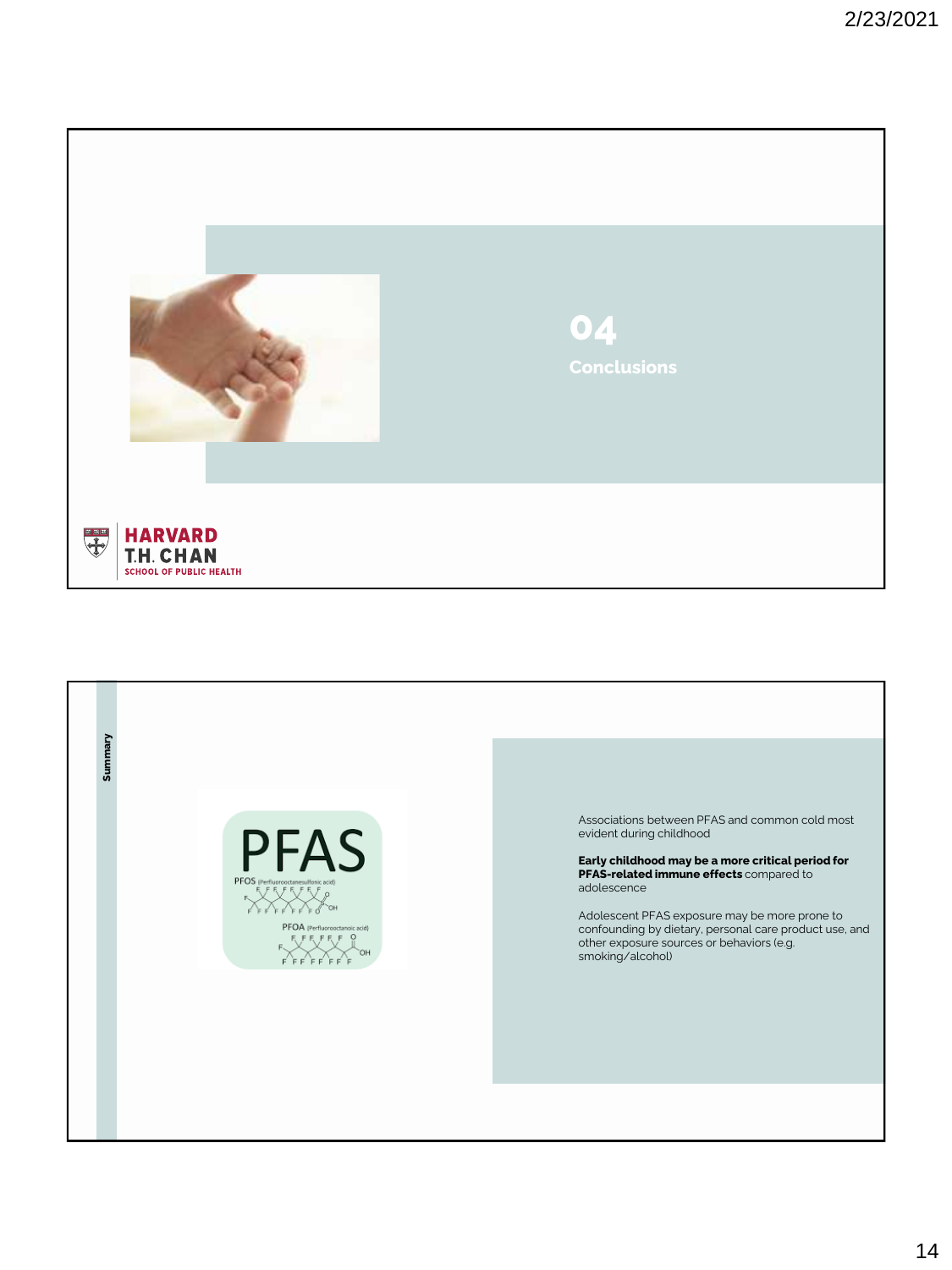

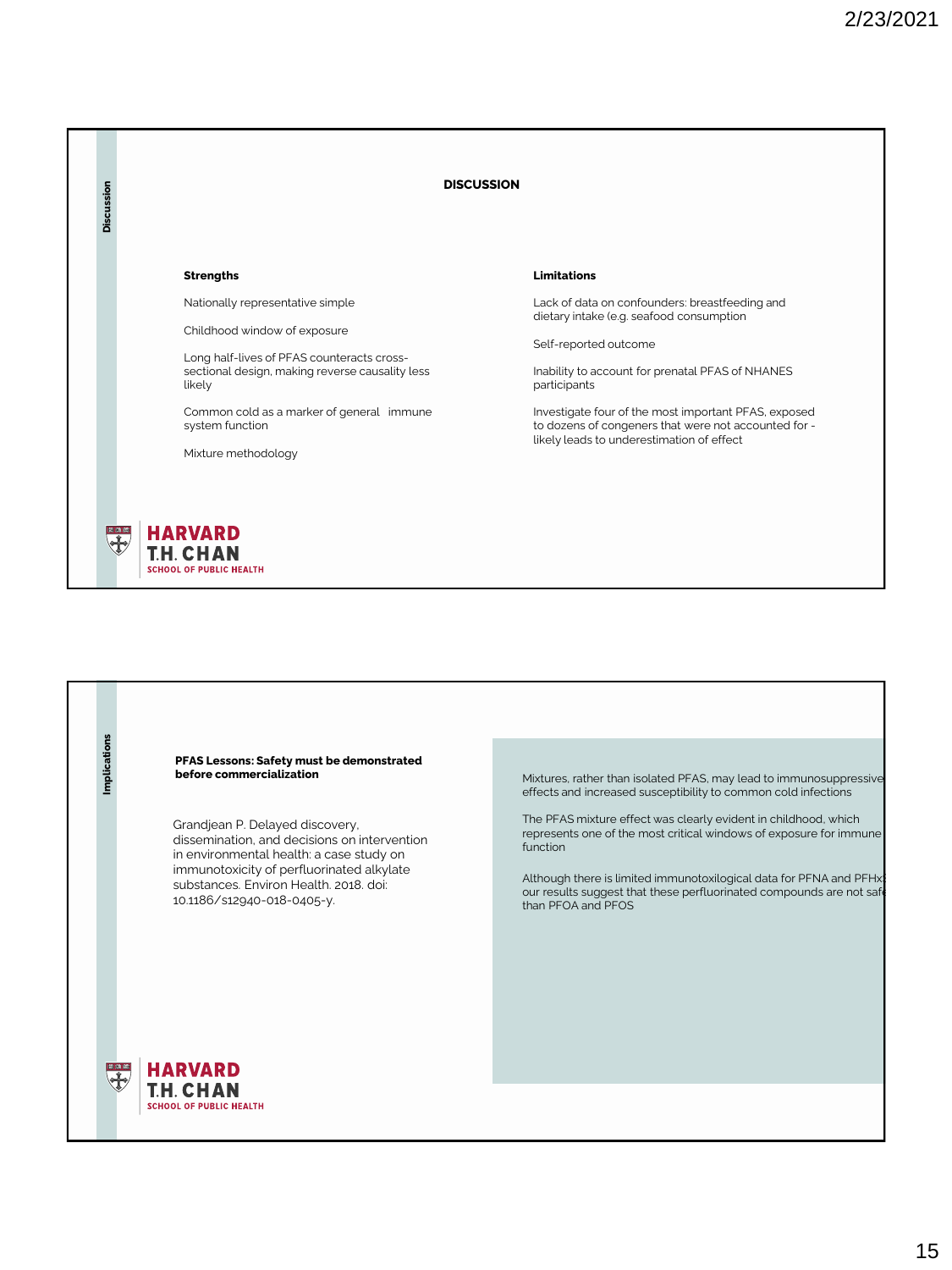

**PFAS Lessons: Safety must be demonstrated before commercialization**

Grandjean P. Delayed discovery, dissemination, and decisions on intervention in environmental health: a case study on immunotoxicity of perfluorinated alkylate substances. Environ Health. 2018. doi: 10.1186/s12940-018-0405-y.

Mixtures, rather than isolated PFAS, may lead to immunosuppressive effects and increased susceptibility to common cold infections

The PFAS mixture effect was clearly evident in childhood, which represents one of the most critical windows of exposure for immune function

Although there is limited immunotoxilogical data for PFNA and PFHx our results suggest that these perfluorinated compounds are not safe than PFOA and PFOS



Implications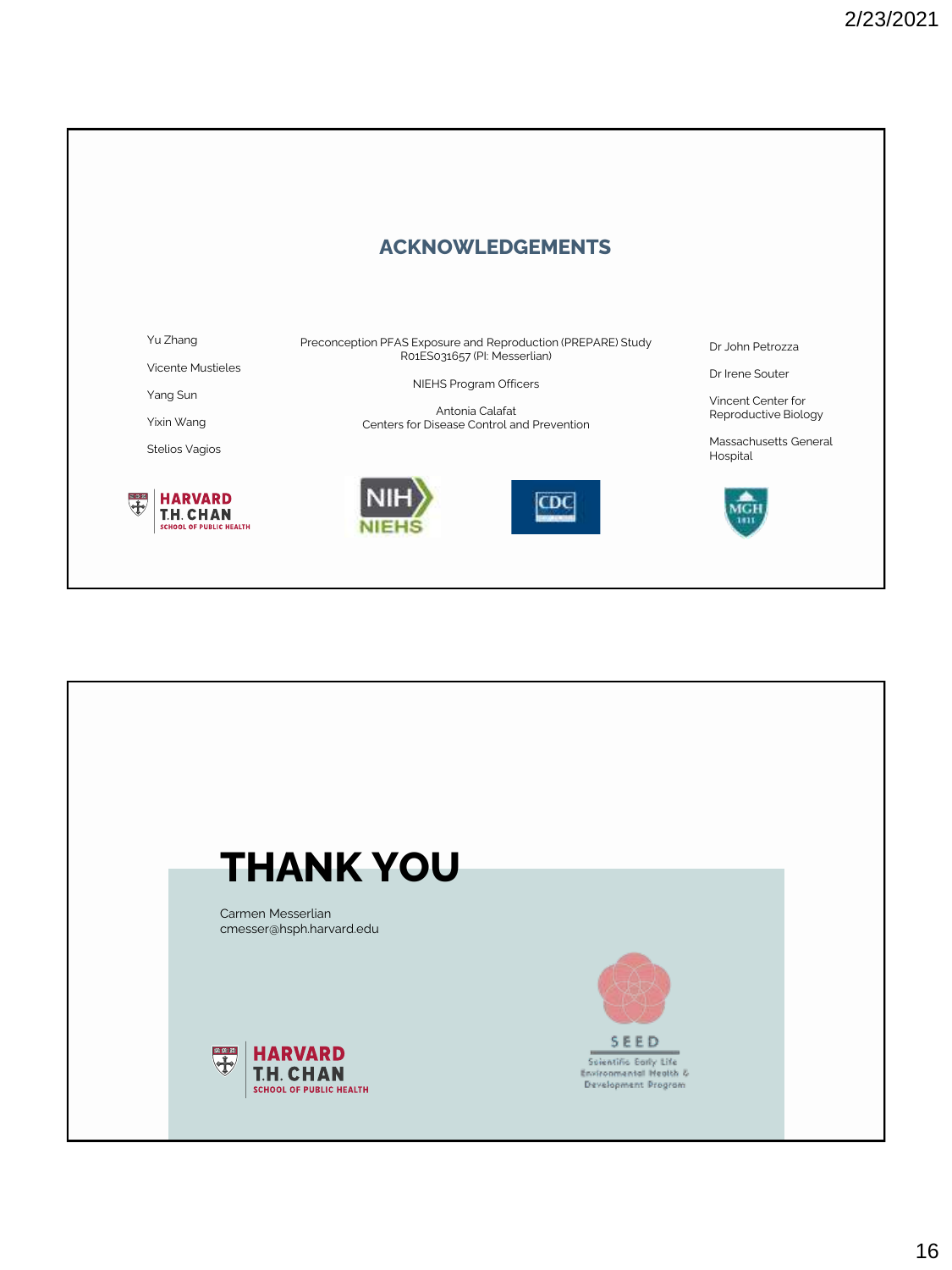